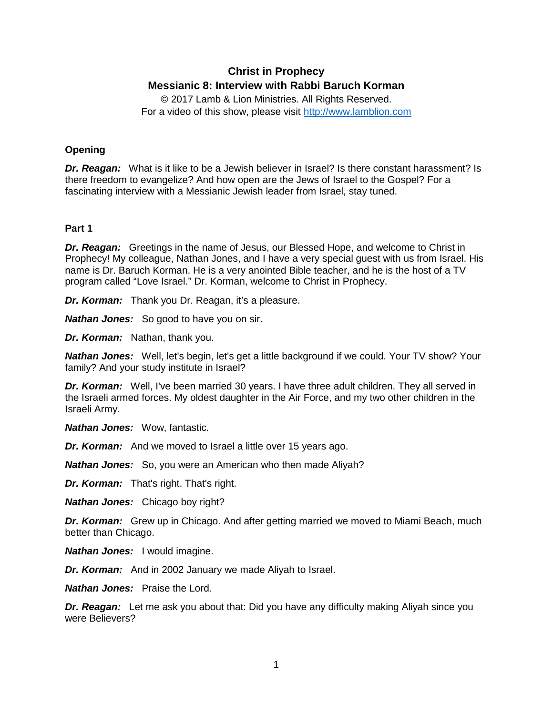# **Christ in Prophecy Messianic 8: Interview with Rabbi Baruch Korman**

© 2017 Lamb & Lion Ministries. All Rights Reserved. For a video of this show, please visit [http://www.lamblion.com](http://www.lamblion.com/)

# **Opening**

*Dr. Reagan:* What is it like to be a Jewish believer in Israel? Is there constant harassment? Is there freedom to evangelize? And how open are the Jews of Israel to the Gospel? For a fascinating interview with a Messianic Jewish leader from Israel, stay tuned.

# **Part 1**

*Dr. Reagan:* Greetings in the name of Jesus, our Blessed Hope, and welcome to Christ in Prophecy! My colleague, Nathan Jones, and I have a very special guest with us from Israel. His name is Dr. Baruch Korman. He is a very anointed Bible teacher, and he is the host of a TV program called "Love Israel." Dr. Korman, welcome to Christ in Prophecy.

*Dr. Korman:* Thank you Dr. Reagan, it's a pleasure.

*Nathan Jones:* So good to have you on sir.

*Dr. Korman:* Nathan, thank you.

*Nathan Jones:* Well, let's begin, let's get a little background if we could. Your TV show? Your family? And your study institute in Israel?

*Dr. Korman:* Well, I've been married 30 years. I have three adult children. They all served in the Israeli armed forces. My oldest daughter in the Air Force, and my two other children in the Israeli Army.

*Nathan Jones:* Wow, fantastic.

*Dr. Korman:* And we moved to Israel a little over 15 years ago.

*Nathan Jones:* So, you were an American who then made Aliyah?

*Dr. Korman:* That's right. That's right.

*Nathan Jones:* Chicago boy right?

**Dr. Korman:** Grew up in Chicago. And after getting married we moved to Miami Beach, much better than Chicago.

*Nathan Jones:* I would imagine.

*Dr. Korman:* And in 2002 January we made Aliyah to Israel.

*Nathan Jones:* Praise the Lord.

*Dr. Reagan:* Let me ask you about that: Did you have any difficulty making Aliyah since you were Believers?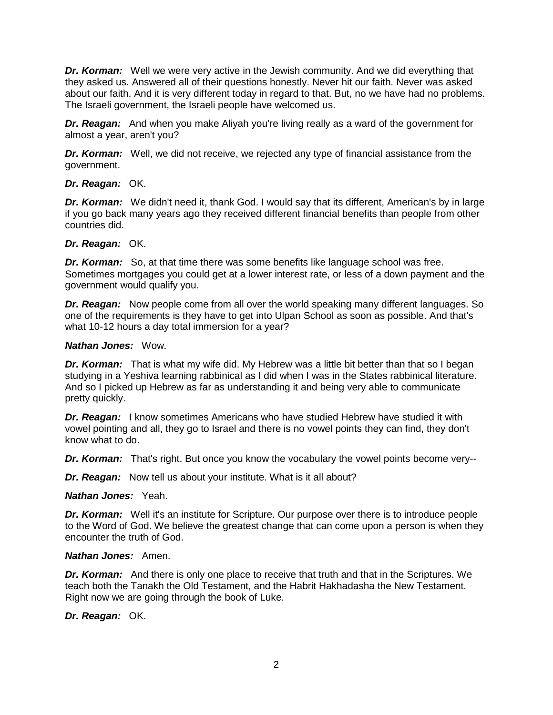*Dr. Korman:* Well we were very active in the Jewish community. And we did everything that they asked us. Answered all of their questions honestly. Never hit our faith. Never was asked about our faith. And it is very different today in regard to that. But, no we have had no problems. The Israeli government, the Israeli people have welcomed us.

*Dr. Reagan:* And when you make Aliyah you're living really as a ward of the government for almost a year, aren't you?

**Dr. Korman:** Well, we did not receive, we rejected any type of financial assistance from the government.

*Dr. Reagan:* OK.

*Dr. Korman:* We didn't need it, thank God. I would say that its different, American's by in large if you go back many years ago they received different financial benefits than people from other countries did.

### *Dr. Reagan:* OK.

*Dr. Korman:* So, at that time there was some benefits like language school was free. Sometimes mortgages you could get at a lower interest rate, or less of a down payment and the government would qualify you.

*Dr. Reagan:* Now people come from all over the world speaking many different languages. So one of the requirements is they have to get into Ulpan School as soon as possible. And that's what 10-12 hours a day total immersion for a year?

### *Nathan Jones:* Wow.

**Dr. Korman:** That is what my wife did. My Hebrew was a little bit better than that so I began studying in a Yeshiva learning rabbinical as I did when I was in the States rabbinical literature. And so I picked up Hebrew as far as understanding it and being very able to communicate pretty quickly.

*Dr. Reagan:* I know sometimes Americans who have studied Hebrew have studied it with vowel pointing and all, they go to Israel and there is no vowel points they can find, they don't know what to do.

*Dr. Korman:* That's right. But once you know the vocabulary the vowel points become very--

*Dr. Reagan:* Now tell us about your institute. What is it all about?

*Nathan Jones:* Yeah.

*Dr. Korman:* Well it's an institute for Scripture. Our purpose over there is to introduce people to the Word of God. We believe the greatest change that can come upon a person is when they encounter the truth of God.

### *Nathan Jones:* Amen.

*Dr. Korman:* And there is only one place to receive that truth and that in the Scriptures. We teach both the Tanakh the Old Testament, and the Habrit Hakhadasha the New Testament. Right now we are going through the book of Luke.

*Dr. Reagan:* OK.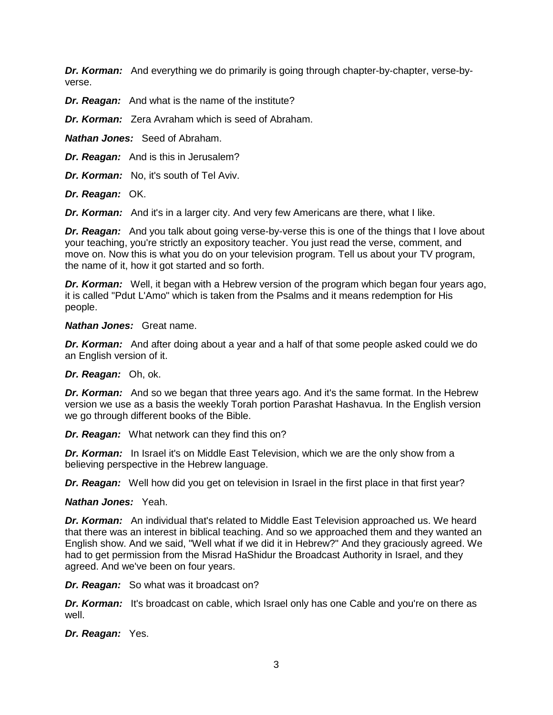*Dr. Korman:* And everything we do primarily is going through chapter-by-chapter, verse-byverse.

*Dr. Reagan:* And what is the name of the institute?

*Dr. Korman:* Zera Avraham which is seed of Abraham.

*Nathan Jones:* Seed of Abraham.

*Dr. Reagan:* And is this in Jerusalem?

*Dr. Korman:* No, it's south of Tel Aviv.

*Dr. Reagan:* OK.

*Dr. Korman:* And it's in a larger city. And very few Americans are there, what I like.

*Dr. Reagan:* And you talk about going verse-by-verse this is one of the things that I love about your teaching, you're strictly an expository teacher. You just read the verse, comment, and move on. Now this is what you do on your television program. Tell us about your TV program, the name of it, how it got started and so forth.

*Dr. Korman:* Well, it began with a Hebrew version of the program which began four years ago, it is called "Pdut L'Amo" which is taken from the Psalms and it means redemption for His people.

### *Nathan Jones:* Great name.

*Dr. Korman:* And after doing about a year and a half of that some people asked could we do an English version of it.

### *Dr. Reagan:* Oh, ok.

*Dr. Korman:* And so we began that three years ago. And it's the same format. In the Hebrew version we use as a basis the weekly Torah portion Parashat Hashavua. In the English version we go through different books of the Bible.

*Dr. Reagan:* What network can they find this on?

**Dr. Korman:** In Israel it's on Middle East Television, which we are the only show from a believing perspective in the Hebrew language.

**Dr. Reagan:** Well how did you get on television in Israel in the first place in that first year?

*Nathan Jones:* Yeah.

**Dr. Korman:** An individual that's related to Middle East Television approached us. We heard that there was an interest in biblical teaching. And so we approached them and they wanted an English show. And we said, "Well what if we did it in Hebrew?" And they graciously agreed. We had to get permission from the Misrad HaShidur the Broadcast Authority in Israel, and they agreed. And we've been on four years.

*Dr. Reagan:* So what was it broadcast on?

*Dr. Korman:* It's broadcast on cable, which Israel only has one Cable and you're on there as well.

*Dr. Reagan:* Yes.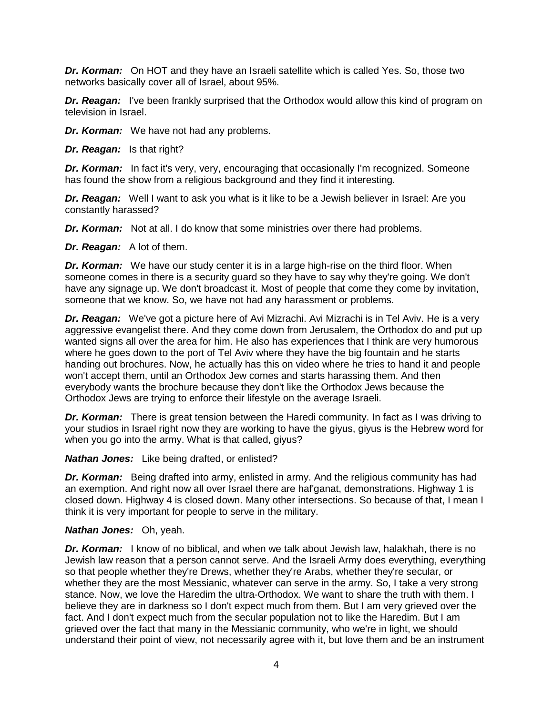*Dr. Korman:* On HOT and they have an Israeli satellite which is called Yes. So, those two networks basically cover all of Israel, about 95%.

*Dr. Reagan:* I've been frankly surprised that the Orthodox would allow this kind of program on television in Israel.

*Dr. Korman:* We have not had any problems.

*Dr. Reagan:* Is that right?

**Dr. Korman:** In fact it's very, very, encouraging that occasionally I'm recognized. Someone has found the show from a religious background and they find it interesting.

**Dr. Reagan:** Well I want to ask you what is it like to be a Jewish believer in Israel: Are you constantly harassed?

*Dr. Korman:* Not at all. I do know that some ministries over there had problems.

*Dr. Reagan:* A lot of them.

*Dr. Korman:* We have our study center it is in a large high-rise on the third floor. When someone comes in there is a security guard so they have to say why they're going. We don't have any signage up. We don't broadcast it. Most of people that come they come by invitation, someone that we know. So, we have not had any harassment or problems.

*Dr. Reagan:* We've got a picture here of Avi Mizrachi. Avi Mizrachi is in Tel Aviv. He is a very aggressive evangelist there. And they come down from Jerusalem, the Orthodox do and put up wanted signs all over the area for him. He also has experiences that I think are very humorous where he goes down to the port of Tel Aviv where they have the big fountain and he starts handing out brochures. Now, he actually has this on video where he tries to hand it and people won't accept them, until an Orthodox Jew comes and starts harassing them. And then everybody wants the brochure because they don't like the Orthodox Jews because the Orthodox Jews are trying to enforce their lifestyle on the average Israeli.

*Dr. Korman:* There is great tension between the Haredi community. In fact as I was driving to your studios in Israel right now they are working to have the giyus, giyus is the Hebrew word for when you go into the army. What is that called, giyus?

*Nathan Jones:* Like being drafted, or enlisted?

*Dr. Korman:* Being drafted into army, enlisted in army. And the religious community has had an exemption. And right now all over Israel there are haf'ganat, demonstrations. Highway 1 is closed down. Highway 4 is closed down. Many other intersections. So because of that, I mean I think it is very important for people to serve in the military.

#### *Nathan Jones:* Oh, yeah.

*Dr. Korman:* I know of no biblical, and when we talk about Jewish law, halakhah, there is no Jewish law reason that a person cannot serve. And the Israeli Army does everything, everything so that people whether they're Drews, whether they're Arabs, whether they're secular, or whether they are the most Messianic, whatever can serve in the army. So, I take a very strong stance. Now, we love the Haredim the ultra-Orthodox. We want to share the truth with them. I believe they are in darkness so I don't expect much from them. But I am very grieved over the fact. And I don't expect much from the secular population not to like the Haredim. But I am grieved over the fact that many in the Messianic community, who we're in light, we should understand their point of view, not necessarily agree with it, but love them and be an instrument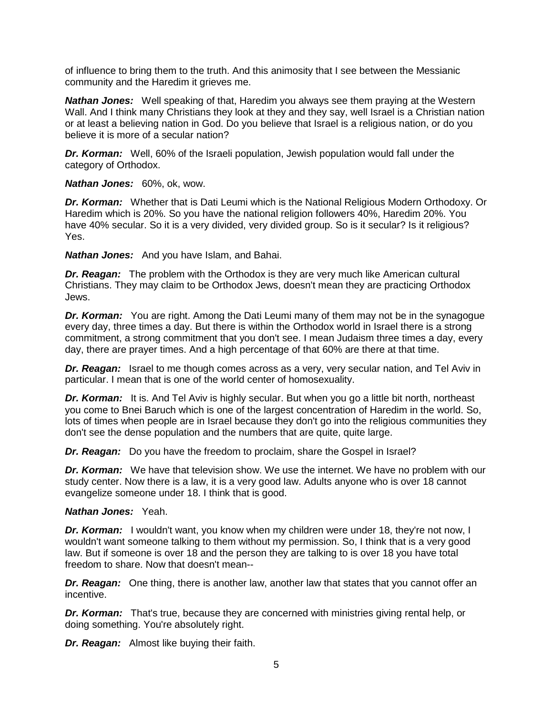of influence to bring them to the truth. And this animosity that I see between the Messianic community and the Haredim it grieves me.

*Nathan Jones:* Well speaking of that, Haredim you always see them praying at the Western Wall. And I think many Christians they look at they and they say, well Israel is a Christian nation or at least a believing nation in God. Do you believe that Israel is a religious nation, or do you believe it is more of a secular nation?

*Dr. Korman:* Well, 60% of the Israeli population, Jewish population would fall under the category of Orthodox.

*Nathan Jones:* 60%, ok, wow.

*Dr. Korman:* Whether that is Dati Leumi which is the National Religious Modern Orthodoxy. Or Haredim which is 20%. So you have the national religion followers 40%, Haredim 20%. You have 40% secular. So it is a very divided, very divided group. So is it secular? Is it religious? Yes.

*Nathan Jones:* And you have Islam, and Bahai.

*Dr. Reagan:* The problem with the Orthodox is they are very much like American cultural Christians. They may claim to be Orthodox Jews, doesn't mean they are practicing Orthodox Jews.

*Dr. Korman:* You are right. Among the Dati Leumi many of them may not be in the synagogue every day, three times a day. But there is within the Orthodox world in Israel there is a strong commitment, a strong commitment that you don't see. I mean Judaism three times a day, every day, there are prayer times. And a high percentage of that 60% are there at that time.

*Dr. Reagan:* Israel to me though comes across as a very, very secular nation, and Tel Aviv in particular. I mean that is one of the world center of homosexuality.

*Dr. Korman:* It is. And Tel Aviv is highly secular. But when you go a little bit north, northeast you come to Bnei Baruch which is one of the largest concentration of Haredim in the world. So, lots of times when people are in Israel because they don't go into the religious communities they don't see the dense population and the numbers that are quite, quite large.

*Dr. Reagan:* Do you have the freedom to proclaim, share the Gospel in Israel?

*Dr. Korman:* We have that television show. We use the internet. We have no problem with our study center. Now there is a law, it is a very good law. Adults anyone who is over 18 cannot evangelize someone under 18. I think that is good.

# *Nathan Jones:* Yeah.

*Dr. Korman:* I wouldn't want, you know when my children were under 18, they're not now, I wouldn't want someone talking to them without my permission. So, I think that is a very good law. But if someone is over 18 and the person they are talking to is over 18 you have total freedom to share. Now that doesn't mean--

*Dr. Reagan:* One thing, there is another law, another law that states that you cannot offer an incentive.

*Dr. Korman:* That's true, because they are concerned with ministries giving rental help, or doing something. You're absolutely right.

*Dr. Reagan:* Almost like buying their faith.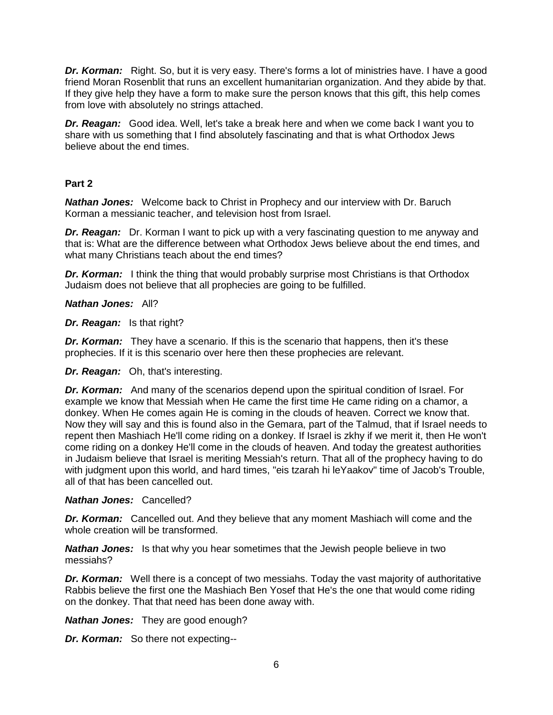*Dr. Korman:* Right. So, but it is very easy. There's forms a lot of ministries have. I have a good friend Moran Rosenblit that runs an excellent humanitarian organization. And they abide by that. If they give help they have a form to make sure the person knows that this gift, this help comes from love with absolutely no strings attached.

*Dr. Reagan:* Good idea. Well, let's take a break here and when we come back I want you to share with us something that I find absolutely fascinating and that is what Orthodox Jews believe about the end times.

# **Part 2**

*Nathan Jones:* Welcome back to Christ in Prophecy and our interview with Dr. Baruch Korman a messianic teacher, and television host from Israel.

*Dr. Reagan:* Dr. Korman I want to pick up with a very fascinating question to me anyway and that is: What are the difference between what Orthodox Jews believe about the end times, and what many Christians teach about the end times?

**Dr. Korman:** I think the thing that would probably surprise most Christians is that Orthodox Judaism does not believe that all prophecies are going to be fulfilled.

*Nathan Jones:* All?

*Dr. Reagan:* Is that right?

*Dr. Korman:* They have a scenario. If this is the scenario that happens, then it's these prophecies. If it is this scenario over here then these prophecies are relevant.

*Dr. Reagan:* Oh, that's interesting.

*Dr. Korman:* And many of the scenarios depend upon the spiritual condition of Israel. For example we know that Messiah when He came the first time He came riding on a chamor, a donkey. When He comes again He is coming in the clouds of heaven. Correct we know that. Now they will say and this is found also in the Gemara, part of the Talmud, that if Israel needs to repent then Mashiach He'll come riding on a donkey. If Israel is zkhy if we merit it, then He won't come riding on a donkey He'll come in the clouds of heaven. And today the greatest authorities in Judaism believe that Israel is meriting Messiah's return. That all of the prophecy having to do with judgment upon this world, and hard times, "eis tzarah hi leYaakov" time of Jacob's Trouble, all of that has been cancelled out.

### *Nathan Jones:* Cancelled?

*Dr. Korman:* Cancelled out. And they believe that any moment Mashiach will come and the whole creation will be transformed.

*Nathan Jones:* Is that why you hear sometimes that the Jewish people believe in two messiahs?

*Dr. Korman:* Well there is a concept of two messiahs. Today the vast majority of authoritative Rabbis believe the first one the Mashiach Ben Yosef that He's the one that would come riding on the donkey. That that need has been done away with.

*Nathan Jones:* They are good enough?

*Dr. Korman:* So there not expecting--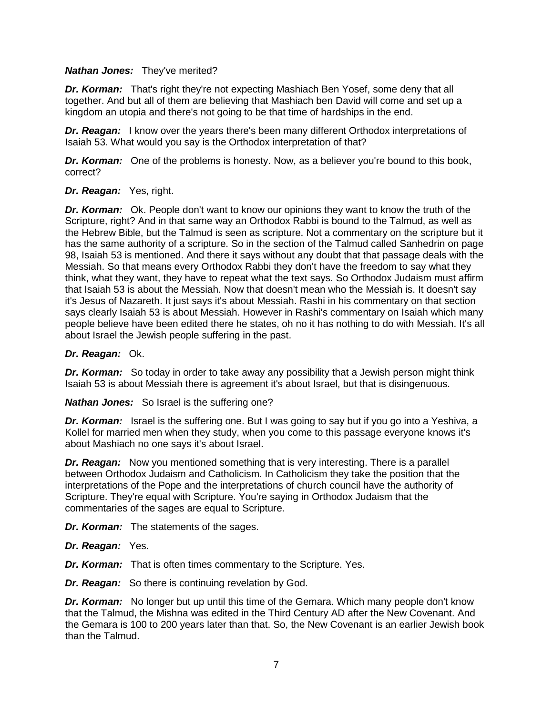### *Nathan Jones:* They've merited?

**Dr. Korman:** That's right they're not expecting Mashiach Ben Yosef, some deny that all together. And but all of them are believing that Mashiach ben David will come and set up a kingdom an utopia and there's not going to be that time of hardships in the end.

*Dr. Reagan:* I know over the years there's been many different Orthodox interpretations of Isaiah 53. What would you say is the Orthodox interpretation of that?

*Dr. Korman:* One of the problems is honesty. Now, as a believer you're bound to this book, correct?

### *Dr. Reagan:* Yes, right.

*Dr. Korman:* Ok. People don't want to know our opinions they want to know the truth of the Scripture, right? And in that same way an Orthodox Rabbi is bound to the Talmud, as well as the Hebrew Bible, but the Talmud is seen as scripture. Not a commentary on the scripture but it has the same authority of a scripture. So in the section of the Talmud called Sanhedrin on page 98, Isaiah 53 is mentioned. And there it says without any doubt that that passage deals with the Messiah. So that means every Orthodox Rabbi they don't have the freedom to say what they think, what they want, they have to repeat what the text says. So Orthodox Judaism must affirm that Isaiah 53 is about the Messiah. Now that doesn't mean who the Messiah is. It doesn't say it's Jesus of Nazareth. It just says it's about Messiah. Rashi in his commentary on that section says clearly Isaiah 53 is about Messiah. However in Rashi's commentary on Isaiah which many people believe have been edited there he states, oh no it has nothing to do with Messiah. It's all about Israel the Jewish people suffering in the past.

### *Dr. Reagan:* Ok.

**Dr. Korman:** So today in order to take away any possibility that a Jewish person might think Isaiah 53 is about Messiah there is agreement it's about Israel, but that is disingenuous.

*Nathan Jones:* So Israel is the suffering one?

*Dr. Korman:* Israel is the suffering one. But I was going to say but if you go into a Yeshiva, a Kollel for married men when they study, when you come to this passage everyone knows it's about Mashiach no one says it's about Israel.

*Dr. Reagan:* Now you mentioned something that is very interesting. There is a parallel between Orthodox Judaism and Catholicism. In Catholicism they take the position that the interpretations of the Pope and the interpretations of church council have the authority of Scripture. They're equal with Scripture. You're saying in Orthodox Judaism that the commentaries of the sages are equal to Scripture.

*Dr. Korman:* The statements of the sages.

- *Dr. Reagan:* Yes.
- *Dr. Korman:* That is often times commentary to the Scripture. Yes.

*Dr. Reagan:* So there is continuing revelation by God.

*Dr. Korman:* No longer but up until this time of the Gemara. Which many people don't know that the Talmud, the Mishna was edited in the Third Century AD after the New Covenant. And the Gemara is 100 to 200 years later than that. So, the New Covenant is an earlier Jewish book than the Talmud.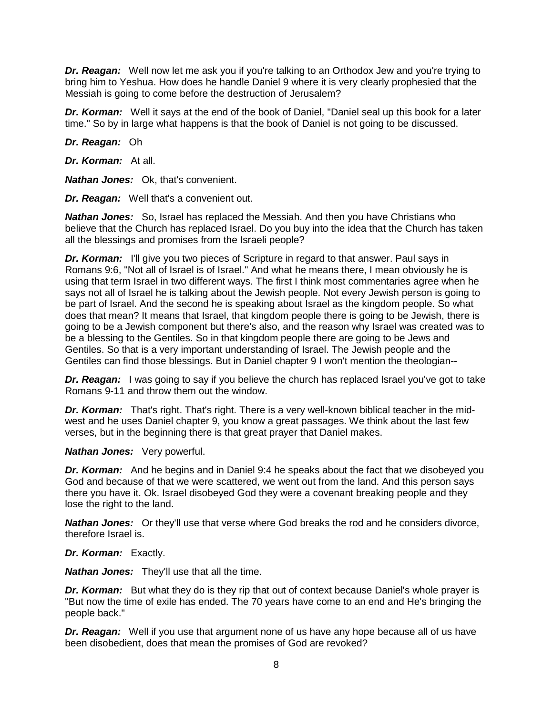*Dr. Reagan:* Well now let me ask you if you're talking to an Orthodox Jew and you're trying to bring him to Yeshua. How does he handle Daniel 9 where it is very clearly prophesied that the Messiah is going to come before the destruction of Jerusalem?

*Dr. Korman:* Well it says at the end of the book of Daniel, "Daniel seal up this book for a later time." So by in large what happens is that the book of Daniel is not going to be discussed.

*Dr. Reagan:* Oh

*Dr. Korman:* At all.

*Nathan Jones:* Ok, that's convenient.

*Dr. Reagan:* Well that's a convenient out.

*Nathan Jones:* So, Israel has replaced the Messiah. And then you have Christians who believe that the Church has replaced Israel. Do you buy into the idea that the Church has taken all the blessings and promises from the Israeli people?

*Dr. Korman:* I'll give you two pieces of Scripture in regard to that answer. Paul says in Romans 9:6, "Not all of Israel is of Israel." And what he means there, I mean obviously he is using that term Israel in two different ways. The first I think most commentaries agree when he says not all of Israel he is talking about the Jewish people. Not every Jewish person is going to be part of Israel. And the second he is speaking about Israel as the kingdom people. So what does that mean? It means that Israel, that kingdom people there is going to be Jewish, there is going to be a Jewish component but there's also, and the reason why Israel was created was to be a blessing to the Gentiles. So in that kingdom people there are going to be Jews and Gentiles. So that is a very important understanding of Israel. The Jewish people and the Gentiles can find those blessings. But in Daniel chapter 9 I won't mention the theologian--

*Dr. Reagan:* I was going to say if you believe the church has replaced Israel you've got to take Romans 9-11 and throw them out the window.

*Dr. Korman:* That's right. That's right. There is a very well-known biblical teacher in the midwest and he uses Daniel chapter 9, you know a great passages. We think about the last few verses, but in the beginning there is that great prayer that Daniel makes.

*Nathan Jones:* Very powerful.

*Dr. Korman:* And he begins and in Daniel 9:4 he speaks about the fact that we disobeyed you God and because of that we were scattered, we went out from the land. And this person says there you have it. Ok. Israel disobeyed God they were a covenant breaking people and they lose the right to the land.

*Nathan Jones:* Or they'll use that verse where God breaks the rod and he considers divorce, therefore Israel is.

# *Dr. Korman:* Exactly.

*Nathan Jones:* They'll use that all the time.

*Dr. Korman:* But what they do is they rip that out of context because Daniel's whole prayer is "But now the time of exile has ended. The 70 years have come to an end and He's bringing the people back."

*Dr. Reagan:* Well if you use that argument none of us have any hope because all of us have been disobedient, does that mean the promises of God are revoked?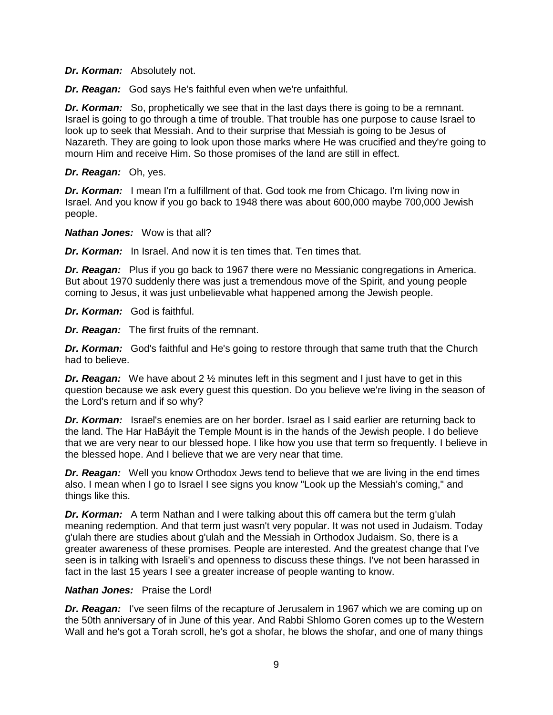*Dr. Korman:* Absolutely not.

*Dr. Reagan:* God says He's faithful even when we're unfaithful.

*Dr. Korman:* So, prophetically we see that in the last days there is going to be a remnant. Israel is going to go through a time of trouble. That trouble has one purpose to cause Israel to look up to seek that Messiah. And to their surprise that Messiah is going to be Jesus of Nazareth. They are going to look upon those marks where He was crucified and they're going to mourn Him and receive Him. So those promises of the land are still in effect.

*Dr. Reagan:* Oh, yes.

**Dr. Korman:** I mean I'm a fulfillment of that. God took me from Chicago. I'm living now in Israel. And you know if you go back to 1948 there was about 600,000 maybe 700,000 Jewish people.

*Nathan Jones:* Wow is that all?

*Dr. Korman:* In Israel. And now it is ten times that. Ten times that.

*Dr. Reagan:* Plus if you go back to 1967 there were no Messianic congregations in America. But about 1970 suddenly there was just a tremendous move of the Spirit, and young people coming to Jesus, it was just unbelievable what happened among the Jewish people.

*Dr. Korman:* God is faithful.

*Dr. Reagan:* The first fruits of the remnant.

*Dr. Korman:* God's faithful and He's going to restore through that same truth that the Church had to believe.

*Dr. Reagan:* We have about 2 % minutes left in this segment and I just have to get in this question because we ask every guest this question. Do you believe we're living in the season of the Lord's return and if so why?

*Dr. Korman:* Israel's enemies are on her border. Israel as I said earlier are returning back to the land. The Har HaBáyit the Temple Mount is in the hands of the Jewish people. I do believe that we are very near to our blessed hope. I like how you use that term so frequently. I believe in the blessed hope. And I believe that we are very near that time.

**Dr. Reagan:** Well you know Orthodox Jews tend to believe that we are living in the end times also. I mean when I go to Israel I see signs you know "Look up the Messiah's coming," and things like this.

*Dr. Korman:* A term Nathan and I were talking about this off camera but the term g'ulah meaning redemption. And that term just wasn't very popular. It was not used in Judaism. Today g'ulah there are studies about g'ulah and the Messiah in Orthodox Judaism. So, there is a greater awareness of these promises. People are interested. And the greatest change that I've seen is in talking with Israeli's and openness to discuss these things. I've not been harassed in fact in the last 15 years I see a greater increase of people wanting to know.

### *Nathan Jones:* Praise the Lord!

**Dr. Reagan:** I've seen films of the recapture of Jerusalem in 1967 which we are coming up on the 50th anniversary of in June of this year. And Rabbi Shlomo Goren comes up to the Western Wall and he's got a Torah scroll, he's got a shofar, he blows the shofar, and one of many things